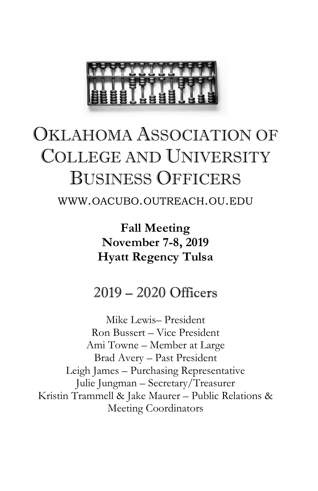

## OKLAHOMA ASSOCIATION OF COLLEGE AND UNIVERSITY BUSINESS OFFICERS

WWW.OACUBO.OUTREACH.OU.EDU

**Fall Meeting November 7-8, 2019 Hyatt Regency Tulsa**

## 2019 – 2020 Officers

Mike Lewis– President Ron Bussert – Vice President Ami Towne – Member at Large Brad Avery – Past President Leigh James – Purchasing Representative Julie Jungman – Secretary/Treasurer Kristin Trammell & Jake Maurer – Public Relations & Meeting Coordinators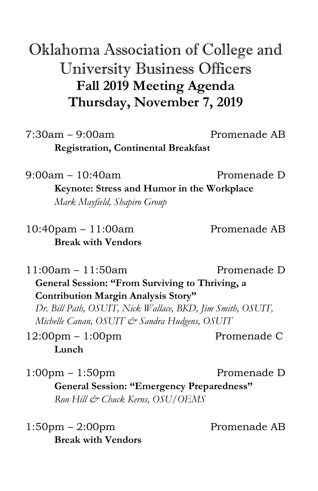Oklahoma Association of College and University Business Officers **Fall 2019 Meeting Agenda Thursday, November 7, 2019**

 $7:30$ am –  $9:00$ am Promenade AB **Registration, Continental Breakfast**

9:00am – 10:40am Promenade D **Keynote: Stress and Humor in the Workplace** *Mark Mayfield, Shapiro Group*

10:40pam – 11:00am Promenade AB **Break with Vendors**

11:00am – 11:50am Promenade D **General Session: "From Surviving to Thriving, a Contribution Margin Analysis Story"** *Dr. Bill Path, OSUIT, Nick Wallace, BKD, Jim Smith, OSUIT, Michelle Canan, OSUIT & Sandra Hudgens, OSUIT*

12:00pm – 1:00pm Promenade C **Lunch**

1:00pm – 1:50pm entitled by Promenade D **General Session: "Emergency Preparedness"** *Ron Hill & Chuck Kerns, OSU/OEMS*

1:50pm – 2:00pm Promenade AB **Break with Vendors**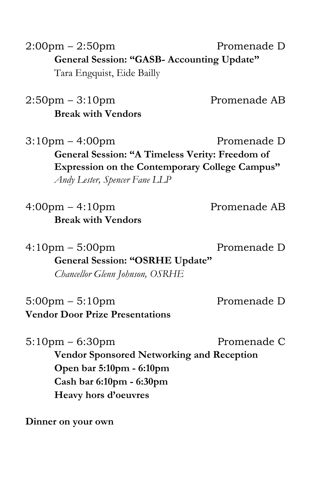2:00pm – 2:50pm entitled by Promenade D **General Session: "GASB- Accounting Update"** Tara Engquist, Eide Bailly

2:50pm – 3:10pm entitled as Promenade AB **Break with Vendors**

3:10pm – 4:00pm Promenade D **General Session: "A Timeless Verity: Freedom of Expression on the Contemporary College Campus"** *Andy Lester, Spencer Fane LLP*

4:00pm – 4:10pm Promenade AB **Break with Vendors**

4:10pm – 5:00pm Promenade D **General Session: "OSRHE Update"** *Chancellor Glenn Johnson, OSRHE*

5:00pm – 5:10pm entitled by Promenade D **Vendor Door Prize Presentations**

 $5:10 \text{pm} - 6:30 \text{pm}$  Promenade C **Vendor Sponsored Networking and Reception Open bar 5:10pm - 6:10pm Cash bar 6:10pm - 6:30pm Heavy hors d'oeuvres**

**Dinner on your own**